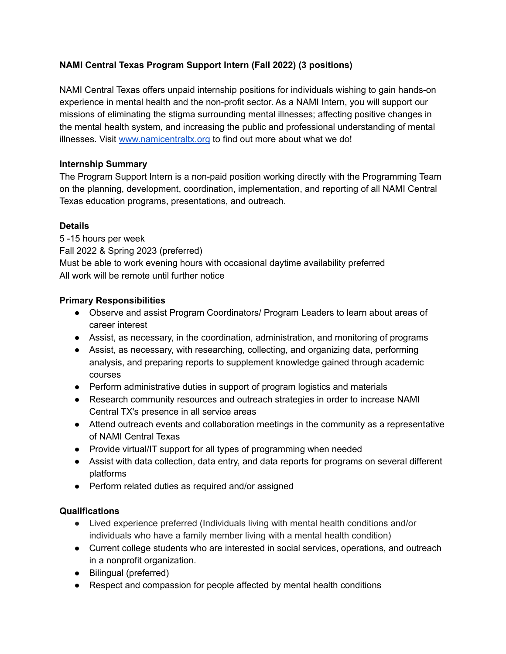# **NAMI Central Texas Program Support Intern (Fall 2022) (3 positions)**

NAMI Central Texas offers unpaid internship positions for individuals wishing to gain hands-on experience in mental health and the non-profit sector. As a NAMI Intern, you will support our missions of eliminating the stigma surrounding mental illnesses; affecting positive changes in the mental health system, and increasing the public and professional understanding of mental illnesses. Visit [www.namicentraltx.org](http://www.namicentraltx.org) to find out more about what we do!

## **Internship Summary**

The Program Support Intern is a non-paid position working directly with the Programming Team on the planning, development, coordination, implementation, and reporting of all NAMI Central Texas education programs, presentations, and outreach.

## **Details**

5 -15 hours per week Fall 2022 & Spring 2023 (preferred) Must be able to work evening hours with occasional daytime availability preferred All work will be remote until further notice

### **Primary Responsibilities**

- Observe and assist Program Coordinators/ Program Leaders to learn about areas of career interest
- Assist, as necessary, in the coordination, administration, and monitoring of programs
- Assist, as necessary, with researching, collecting, and organizing data, performing analysis, and preparing reports to supplement knowledge gained through academic courses
- Perform administrative duties in support of program logistics and materials
- Research community resources and outreach strategies in order to increase NAMI Central TX's presence in all service areas
- Attend outreach events and collaboration meetings in the community as a representative of NAMI Central Texas
- Provide virtual/IT support for all types of programming when needed
- Assist with data collection, data entry, and data reports for programs on several different platforms
- Perform related duties as required and/or assigned

## **Qualifications**

- Lived experience preferred (Individuals living with mental health conditions and/or individuals who have a family member living with a mental health condition)
- Current college students who are interested in social services, operations, and outreach in a nonprofit organization.
- Bilingual (preferred)
- Respect and compassion for people affected by mental health conditions